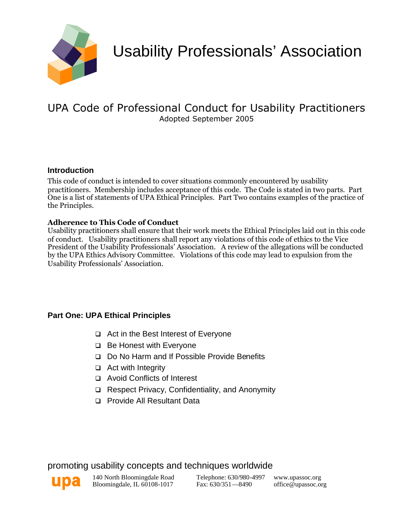

Usability Professionals' Association

# UPA Code of Professional Conduct for Usability Practitioners Adopted September 2005

## **Introduction**

This code of conduct is intended to cover situations commonly encountered by usability practitioners. Membership includes acceptance of this code. The Code is stated in two parts. Part One is a list of statements of UPA Ethical Principles. Part Two contains examples of the practice of the Principles.

#### **Adherence to This Code of Conduct**

Usability practitioners shall ensure that their work meets the Ethical Principles laid out in this code of conduct. Usability practitioners shall report any violations of this code of ethics to the Vice President of the Usability Professionals' Association. A review of the allegations will be conducted by the UPA Ethics Advisory Committee. Violations of this code may lead to expulsion from the Usability Professionals' Association.

## **Part One: UPA Ethical Principles**

- □ Act in the Best Interest of Everyone
- $\Box$  Be Honest with Everyone
- Do No Harm and If Possible Provide Benefits
- $\Box$  Act with Integrity
- Avoid Conflicts of Interest
- Respect Privacy, Confidentiality, and Anonymity
- □ Provide All Resultant Data

## promoting usability concepts and techniques worldwide



140 North Bloomingdale Road Bloomingdale, IL 60108-1017

Telephone: 630/980-4997 Fax: 630/351—8490

www.upassoc.org office@upassoc.org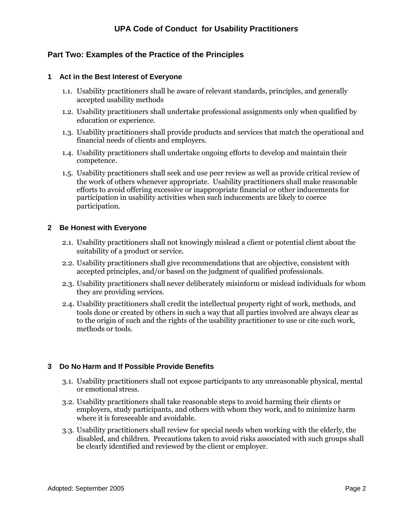### **Part Two: Examples of the Practice of the Principles**

#### **1 Act in the Best Interest of Everyone**

- 1.1. Usability practitioners shall be aware of relevant standards, principles, and generally accepted usability methods
- 1.2. Usability practitioners shall undertake professional assignments only when qualified by education or experience.
- 1.3. Usability practitioners shall provide products and services that match the operational and financial needs of clients and employers.
- 1.4. Usability practitioners shall undertake ongoing efforts to develop and maintain their competence.
- 1.5. Usability practitioners shall seek and use peer review as well as provide critical review of the work of others whenever appropriate. Usability practitioners shall make reasonable efforts to avoid offering excessive or inappropriate financial or other inducements for participation in usability activities when such inducements are likely to coerce participation.

#### **2 Be Honest with Everyone**

- 2.1. Usability practitioners shall not knowingly mislead a client or potential client about the suitability of a product or service.
- 2.2. Usability practitioners shall give recommendations that are objective, consistent with accepted principles, and/or based on the judgment of qualified professionals.
- 2.3. Usability practitioners shall never deliberately misinform or mislead individuals for whom they are providing services.
- 2.4. Usability practitioners shall credit the intellectual property right of work, methods, and tools done or created by others in such a way that all parties involved are always clear as to the origin of such and the rights of the usability practitioner to use or cite such work, methods or tools.

#### **3 Do No Harm and If Possible Provide Benefits**

- 3.1. Usability practitioners shall not expose participants to any unreasonable physical, mental or emotional stress.
- 3.2. Usability practitioners shall take reasonable steps to avoid harming their clients or employers, study participants, and others with whom they work, and to minimize harm where it is foreseeable and avoidable.
- 3.3. Usability practitioners shall review for special needs when working with the elderly, the disabled, and children. Precautions taken to avoid risks associated with such groups shall be clearly identified and reviewed by the client or employer.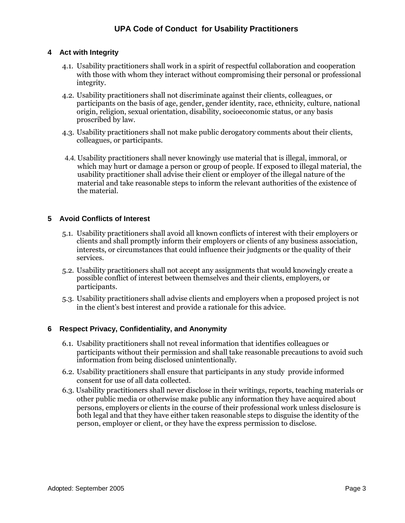#### **4 Act with Integrity**

- 4.1. Usability practitioners shall work in a spirit of respectful collaboration and cooperation with those with whom they interact without compromising their personal or professional integrity.
- 4.2. Usability practitioners shall not discriminate against their clients, colleagues, or participants on the basis of age, gender, gender identity, race, ethnicity, culture, national origin, religion, sexual orientation, disability, socioeconomic status, or any basis proscribed by law.
- 4.3. Usability practitioners shall not make public derogatory comments about their clients, colleagues, or participants.
- 4.4. Usability practitioners shall never knowingly use material that is illegal, immoral, or which may hurt or damage a person or group of people. If exposed to illegal material, the usability practitioner shall advise their client or employer of the illegal nature of the material and take reasonable steps to inform the relevant authorities of the existence of the material.

#### **5 Avoid Conflicts of Interest**

- 5.1. Usability practitioners shall avoid all known conflicts of interest with their employers or clients and shall promptly inform their employers or clients of any business association, interests, or circumstances that could influence their judgments or the quality of their services.
- 5.2. Usability practitioners shall not accept any assignments that would knowingly create a possible conflict of interest between themselves and their clients, employers, or participants.
- 5.3. Usability practitioners shall advise clients and employers when a proposed project is not in the client's best interest and provide a rationale for this advice.

#### **6 Respect Privacy, Confidentiality, and Anonymity**

- 6.1. Usability practitioners shall not reveal information that identifies colleagues or participants without their permission and shall take reasonable precautions to avoid such information from being disclosed unintentionally.
- 6.2. Usability practitioners shall ensure that participants in any study provide informed consent for use of all data collected.
- 6.3. Usability practitioners shall never disclose in their writings, reports, teaching materials or other public media or otherwise make public any information they have acquired about persons, employers or clients in the course of their professional work unless disclosure is both legal and that they have either taken reasonable steps to disguise the identity of the person, employer or client, or they have the express permission to disclose.